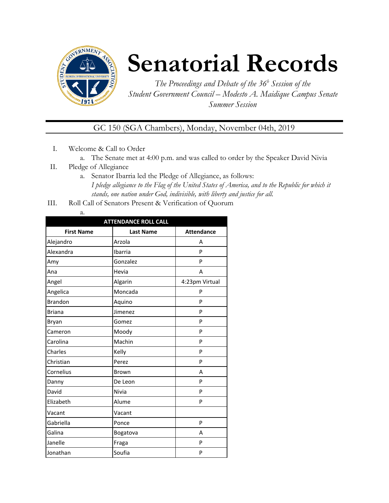

# **Senatorial Records**

*The Proceedings and Debate of the 36 <sup>h</sup> Session of the Student Government Council – Modesto A. Maidique Campus Senate Summer Session*

GC 150 (SGA Chambers), Monday, November 04th, 2019

- I. Welcome & Call to Order
	- a. The Senate met at 4:00 p.m. and was called to order by the Speaker David Nivia
- II. Pledge of Allegiance
	- a. Senator Ibarria led the Pledge of Allegiance, as follows: *I pledge allegiance to the Flag of the United States of America, and to the Republic for which it stands, one nation under God, indivisible, with liberty and justice for all.*
- III. Roll Call of Senators Present & Verification of Quorum
	- a.

| <b>ATTENDANCE ROLL CALL</b> |                  |                   |  |  |
|-----------------------------|------------------|-------------------|--|--|
| <b>First Name</b>           | <b>Last Name</b> | <b>Attendance</b> |  |  |
| Alejandro                   | Arzola           | А                 |  |  |
| Alexandra                   | Ibarria          | P                 |  |  |
| Amy                         | Gonzalez         | P                 |  |  |
| Ana                         | Hevia            | A                 |  |  |
| Angel                       | Algarin          | 4:23pm Virtual    |  |  |
| Angelica                    | Moncada          | P                 |  |  |
| <b>Brandon</b>              | Aquino           | P                 |  |  |
| <b>Briana</b>               | Jimenez          | P                 |  |  |
| Bryan                       | Gomez            | P                 |  |  |
| Cameron                     | Moody            | P                 |  |  |
| Carolina                    | Machin           | P                 |  |  |
| Charles                     | Kelly            | P                 |  |  |
| Christian                   | Perez            | P                 |  |  |
| Cornelius                   | Brown            | А                 |  |  |
| Danny                       | De Leon          | P                 |  |  |
| David                       | Nivia            | P                 |  |  |
| Elizabeth                   | Alume            | P                 |  |  |
| Vacant                      | Vacant           |                   |  |  |
| Gabriella                   | Ponce            | P                 |  |  |
| Galina                      | Bogatova         | А                 |  |  |
| Janelle                     | Fraga            | P                 |  |  |
| Jonathan                    | Soufia           | P                 |  |  |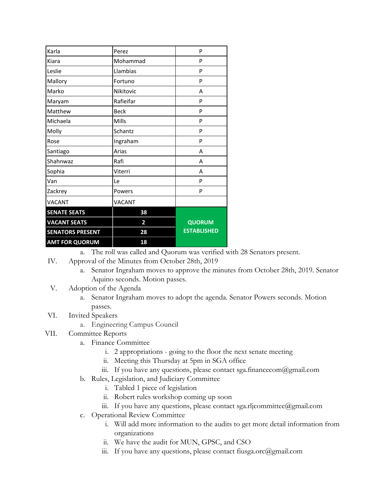| Karla                   | Perez                   | P                  |
|-------------------------|-------------------------|--------------------|
| Kiara                   | Mohammad                | P                  |
| Leslie                  | Llambias                | P                  |
| Mallory                 | Fortuno                 | P                  |
| Marko                   | Nikitovic               | A                  |
| Maryam                  | Rafieifar               | P                  |
| Matthew                 | <b>Beck</b>             | P                  |
| Michaela                | Mills                   | P                  |
| Molly                   | Schantz                 | P                  |
| Rose                    | Ingraham                | P                  |
| Santiago                | Arias                   | A                  |
| Shahnwaz                | Rafi                    | A                  |
| Sophia                  | Viterri                 | A                  |
| Van                     | Le                      | P                  |
| Zackrey                 | Powers                  | P                  |
| <b>VACANT</b>           | VACANT                  |                    |
| <b>SENATE SEATS</b>     | 38                      |                    |
| <b>VACANT SEATS</b>     | $\overline{\mathbf{2}}$ | <b>QUORUM</b>      |
| <b>SENATORS PRESENT</b> | 28                      | <b>ESTABLISHED</b> |
| <b>AMT FOR QUORUM</b>   | 18                      |                    |

a. The roll was called and Quorum was verified with 28 Senators present.

- IV. Approval of the Minutes from October 28th, 2019
	- a. Senator Ingraham moves to approve the minutes from October 28th, 2019. Senator Aquino seconds. Motion passes.
- V. Adoption of the Agenda
	- a. Senator Ingraham moves to adopt the agenda. Senator Powers seconds. Motion passes.

## VI. Invited Speakers

- a. Engineering Campus Council
- VII. Committee Reports
	- a. Finance Committee
		- i. 2 appropriations going to the floor the next senate meeting
		- ii. Meeting this Thursday at 5pm in SGA office
		- iii. If you have any questions, please contact sga.financecom@gmail.com
	- b. Rules, Legislation, and Judiciary Committee
		- i. Tabled 1 piece of legislation
		- ii. Robert rules workshop coming up soon
		- iii. If you have any questions, please contact sga.rljcommittee@gmail.com
	- c. Operational Review Committee
		- i. Will add more information to the audits to get more detail information from organizations
		- ii. We have the audit for MUN, GPSC, and CSO
		- iii. If you have any questions, please contact fiusga.orc@gmail.com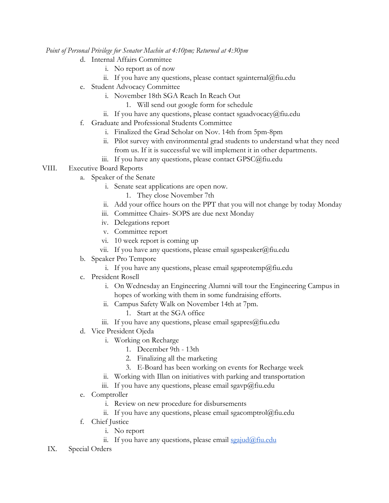#### *Point of Personal Privilege for Senator Machin at 4:10pm; Returned at 4:30pm*

- d. Internal Affairs Committee
	- i. No report as of now
	- ii. If you have any questions, please contact sgainternal@fiu.edu
- e. Student Advocacy Committee
	- i. November 18th SGA Reach In Reach Out
		- 1. Will send out google form for schedule
	- ii. If you have any questions, please contact sgaadvocacy@fiu.edu
- f. Graduate and Professional Students Committee
	- i. Finalized the Grad Scholar on Nov. 14th from 5pm-8pm
		- ii. Pilot survey with environmental grad students to understand what they need from us. If it is successful we will implement it in other departments.
	- iii. If you have any questions, please contact GPSC@fiu.edu

## VIII. Executive Board Reports

- a. Speaker of the Senate
	- i. Senate seat applications are open now.
		- 1. They close November 7th
		- ii. Add your office hours on the PPT that you will not change by today Monday
	- iii. Committee Chairs- SOPS are due next Monday
	- iv. Delegations report
	- v. Committee report
	- vi. 10 week report is coming up
	- vii. If you have any questions, please email sgaspeaker@fiu.edu
- b. Speaker Pro Tempore
	- i. If you have any questions, please email sgaprotemp@fiu.edu
- c. President Rosell
	- i. On Wednesday an Engineering Alumni will tour the Engineering Campus in hopes of working with them in some fundraising efforts.
	- ii. Campus Safety Walk on November 14th at 7pm.
		- 1. Start at the SGA office
	- iii. If you have any questions, please email sgapres $@$ fiu.edu
- d. Vice President Ojeda
	- i. Working on Recharge
		- 1. December 9th 13th
		- 2. Finalizing all the marketing
		- 3. E-Board has been working on events for Recharge week
	- ii. Working with Illan on initiatives with parking and transportation
	- iii. If you have any questions, please email sgavp@fiu.edu
- e. Comptroller
	- i. Review on new procedure for disbursements
	- ii. If you have any questions, please email sgacomptrol $@$ fiu.edu
- f. Chief Justice
	- i. No report
	- ii. If you have any questions, please email [sgajud@fiu.edu](mailto:sgajud@fiu.edu)
- IX. Special Orders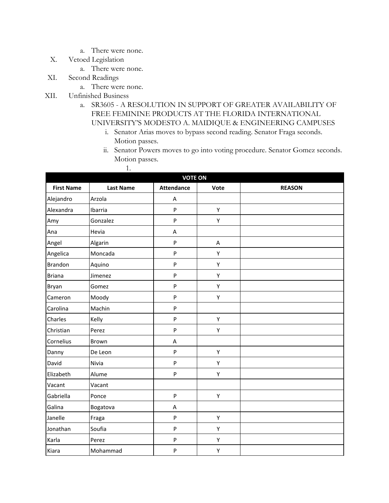- a. There were none.
- X. Vetoed Legislation
	- a. There were none.
- XI. Second Readings
	- a. There were none.
- XII. Unfinished Business
	- a. SR3605 A RESOLUTION IN SUPPORT OF GREATER AVAILABILITY OF FREE FEMININE PRODUCTS AT THE FLORIDA INTERNATIONAL UNIVERSITY'S MODESTO A. MAIDIQUE & ENGINEERING CAMPUSES
		- i. Senator Arias moves to bypass second reading. Senator Fraga seconds. Motion passes.
		- ii. Senator Powers moves to go into voting procedure. Senator Gomez seconds. Motion passes.

|                   | 1.               |                   |         |               |
|-------------------|------------------|-------------------|---------|---------------|
|                   |                  | <b>VOTE ON</b>    |         |               |
| <b>First Name</b> | <b>Last Name</b> | <b>Attendance</b> | Vote    | <b>REASON</b> |
| Alejandro         | Arzola           | A                 |         |               |
| Alexandra         | Ibarria          | P                 | Υ       |               |
| Amy               | Gonzalez         | P                 | Υ       |               |
| Ana               | Hevia            | A                 |         |               |
| Angel             | Algarin          | P                 | $\sf A$ |               |
| Angelica          | Moncada          | P                 | Υ       |               |
| Brandon           | Aquino           | P                 | Υ       |               |
| <b>Briana</b>     | Jimenez          | P                 | Υ       |               |
| Bryan             | Gomez            | P                 | Υ       |               |
| Cameron           | Moody            | P                 | Υ       |               |
| Carolina          | Machin           | P                 |         |               |
| Charles           | Kelly            | P                 | Υ       |               |
| Christian         | Perez            | P                 | Υ       |               |
| Cornelius         | Brown            | A                 |         |               |
| Danny             | De Leon          | P                 | Υ       |               |
| David             | Nivia            | P                 | Υ       |               |
| Elizabeth         | Alume            | P                 | Υ       |               |
| Vacant            | Vacant           |                   |         |               |
| Gabriella         | Ponce            | P                 | Υ       |               |
| Galina            | Bogatova         | A                 |         |               |
| Janelle           | Fraga            | P                 | Υ       |               |
| Jonathan          | Soufia           | P                 | Υ       |               |
| Karla             | Perez            | P                 | Υ       |               |
| Kiara             | Mohammad         | P                 | Υ       |               |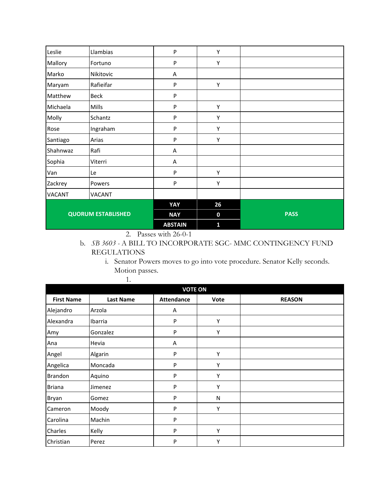|                           |               | <b>ABSTAIN</b> | 1  |             |
|---------------------------|---------------|----------------|----|-------------|
| <b>QUORUM ESTABLISHED</b> |               | <b>NAY</b>     | 0  | <b>PASS</b> |
|                           |               | YAY            | 26 |             |
| <b>VACANT</b>             | <b>VACANT</b> |                |    |             |
| Zackrey                   | Powers        | P              | Υ  |             |
| Van                       | Le            | P              | Y  |             |
| Sophia                    | Viterri       | A              |    |             |
| Shahnwaz                  | Rafi          | A              |    |             |
| Santiago                  | Arias         | P              | Υ  |             |
| Rose                      | Ingraham      | P              | Υ  |             |
| Molly                     | Schantz       | P              | Y  |             |
| Michaela                  | Mills         | P              | Υ  |             |
| Matthew                   | <b>Beck</b>   | P              |    |             |
| Maryam                    | Rafieifar     | P              | Υ  |             |
| Marko                     | Nikitovic     | A              |    |             |
| Mallory                   | Fortuno       | P              | Υ  |             |
| Leslie                    | Llambias      | P              | Υ  |             |

2. Passes with 26-0-1

1.

## b. *SB 3603 -* A BILL TO INCORPORATE SGC- MMC CONTINGENCY FUND REGULATIONS

i. Senator Powers moves to go into vote procedure. Senator Kelly seconds. Motion passes.

| <b>VOTE ON</b>    |                  |                   |      |               |  |
|-------------------|------------------|-------------------|------|---------------|--|
| <b>First Name</b> | <b>Last Name</b> | <b>Attendance</b> | Vote | <b>REASON</b> |  |
| Alejandro         | Arzola           | A                 |      |               |  |
| Alexandra         | Ibarria          | P                 | Υ    |               |  |
| Amy               | Gonzalez         | P                 | Υ    |               |  |
| Ana               | Hevia            | Α                 |      |               |  |
| Angel             | Algarin          | P                 | Υ    |               |  |
| Angelica          | Moncada          | P                 | Υ    |               |  |
| Brandon           | Aquino           | P                 | Υ    |               |  |
| <b>Briana</b>     | Jimenez          | P                 | Υ    |               |  |
| Bryan             | Gomez            | P                 | N    |               |  |
| Cameron           | Moody            | P                 | Υ    |               |  |
| Carolina          | Machin           | P                 |      |               |  |
| Charles           | Kelly            | P                 | Υ    |               |  |
| Christian         | Perez            | P                 | Υ    |               |  |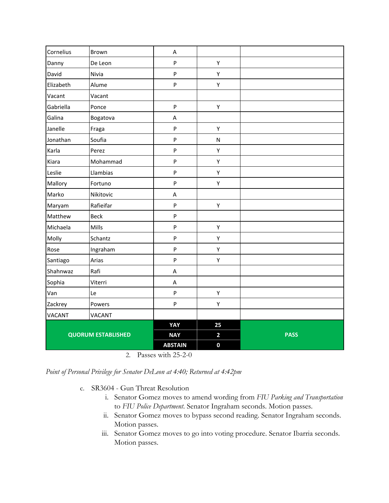| Cornelius                 | Brown             | $\mathsf A$               |                         |             |
|---------------------------|-------------------|---------------------------|-------------------------|-------------|
| Danny                     | De Leon           | $\boldsymbol{\mathsf{P}}$ | Υ                       |             |
| David                     | Nivia             | P                         | Υ                       |             |
| Elizabeth                 | Alume             | P                         | Υ                       |             |
| Vacant                    | Vacant            |                           |                         |             |
| Gabriella                 | Ponce             | P                         | Υ                       |             |
| Galina                    | Bogatova          | $\mathsf A$               |                         |             |
| Janelle                   | Fraga             | $\boldsymbol{\mathsf{P}}$ | Υ                       |             |
| Jonathan                  | Soufia            | P                         | $\mathsf{N}$            |             |
| Karla                     | Perez             | P                         | Υ                       |             |
| Kiara                     | Mohammad          | P                         | Υ                       |             |
| Leslie                    | Llambias          | $\boldsymbol{\mathsf{P}}$ | Υ                       |             |
| Mallory                   | Fortuno           | P                         | Υ                       |             |
| Marko                     | Nikitovic         | A                         |                         |             |
| Maryam                    | Rafieifar         | P                         | Υ                       |             |
| Matthew                   | Beck              | P                         |                         |             |
| Michaela                  | Mills             | P                         | Υ                       |             |
| Molly                     | Schantz           | P                         | Υ                       |             |
| Rose                      | Ingraham          | $\boldsymbol{\mathsf{P}}$ | Υ                       |             |
| Santiago                  | Arias             | P                         | Υ                       |             |
| Shahnwaz                  | Rafi              | $\mathsf A$               |                         |             |
| Sophia                    | Viterri           | A                         |                         |             |
| Van                       | Le                | P                         | Υ                       |             |
| Zackrey                   | Powers            | P                         | Υ                       |             |
| <b>VACANT</b>             | <b>VACANT</b>     |                           |                         |             |
|                           |                   | YAY                       | 25                      |             |
| <b>QUORUM ESTABLISHED</b> |                   | <b>NAY</b>                | $\overline{\mathbf{2}}$ | <b>PASS</b> |
|                           | $\sim$ $\sqrt{ }$ | <b>ABSTAIN</b><br>1.2522  | $\mathbf 0$             |             |

2. Passes with 25-2-0

*Point of Personal Privilege for Senator DeLeon at 4:40; Returned at 4:42pm*

- c. SR3604 Gun Threat Resolution
	- i. Senator Gomez moves to amend wording from *FIU Parking and Transportation* to *FIU Police Department*. Senator Ingraham seconds. Motion passes.
	- ii. Senator Gomez moves to bypass second reading. Senator Ingraham seconds. Motion passes.
	- iii. Senator Gomez moves to go into voting procedure. Senator Ibarria seconds. Motion passes.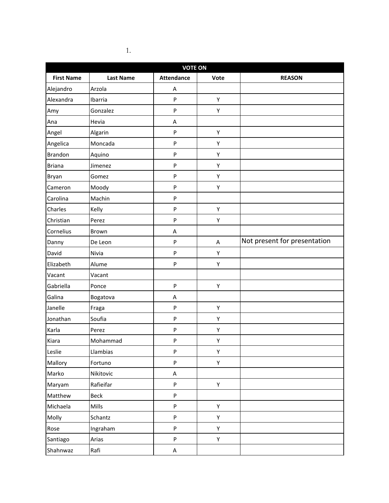|                   | <b>VOTE ON</b>   |                           |      |                              |  |
|-------------------|------------------|---------------------------|------|------------------------------|--|
| <b>First Name</b> | <b>Last Name</b> | <b>Attendance</b>         | Vote | <b>REASON</b>                |  |
| Alejandro         | Arzola           | A                         |      |                              |  |
| Alexandra         | Ibarria          | ${\sf P}$                 | Υ    |                              |  |
| Amy               | Gonzalez         | ${\sf P}$                 | Υ    |                              |  |
| Ana               | Hevia            | Α                         |      |                              |  |
| Angel             | Algarin          | ${\sf P}$                 | Υ    |                              |  |
| Angelica          | Moncada          | ${\sf P}$                 | Υ    |                              |  |
| <b>Brandon</b>    | Aquino           | ${\sf P}$                 | Υ    |                              |  |
| <b>Briana</b>     | Jimenez          | ${\sf P}$                 | Υ    |                              |  |
| Bryan             | Gomez            | ${\sf P}$                 | Y    |                              |  |
| Cameron           | Moody            | ${\sf P}$                 | Υ    |                              |  |
| Carolina          | Machin           | ${\sf P}$                 |      |                              |  |
| Charles           | Kelly            | ${\sf P}$                 | Υ    |                              |  |
| Christian         | Perez            | ${\sf P}$                 | Υ    |                              |  |
| Cornelius         | Brown            | Α                         |      |                              |  |
| Danny             | De Leon          | ${\sf P}$                 | A    | Not present for presentation |  |
| David             | Nivia            | ${\sf P}$                 | Υ    |                              |  |
| Elizabeth         | Alume            | P                         | Υ    |                              |  |
| Vacant            | Vacant           |                           |      |                              |  |
| Gabriella         | Ponce            | ${\sf P}$                 | Υ    |                              |  |
| Galina            | Bogatova         | Α                         |      |                              |  |
| Janelle           | Fraga            | ${\sf P}$                 | Υ    |                              |  |
| Jonathan          | Soufia           | ${\sf P}$                 | Υ    |                              |  |
| Karla             | Perez            | ${\sf P}$                 | Υ    |                              |  |
| Kiara             | Mohammad         | ${\sf P}$                 | Υ    |                              |  |
| Leslie            | Llambias         | ${\sf P}$                 | Υ    |                              |  |
| Mallory           | Fortuno          | $\sf P$                   | Υ    |                              |  |
| Marko             | Nikitovic        | A                         |      |                              |  |
| Maryam            | Rafieifar        | ${\sf P}$                 | Y    |                              |  |
| Matthew           | Beck             | ${\sf P}$                 |      |                              |  |
| Michaela          | Mills            | $\sf P$                   | Υ    |                              |  |
| Molly             | Schantz          | ${\sf P}$                 | Υ    |                              |  |
| Rose              | Ingraham         | $\boldsymbol{\mathsf{P}}$ | Υ    |                              |  |
| Santiago          | Arias            | ${\sf P}$                 | Υ    |                              |  |
| Shahnwaz          | Rafi             | A                         |      |                              |  |

1.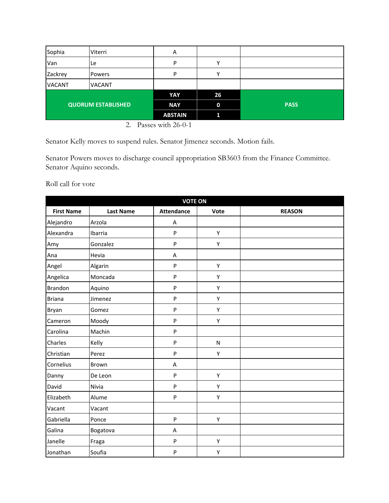| Sophia                    | Viterri       | Α              |             |             |
|---------------------------|---------------|----------------|-------------|-------------|
| Van                       | Le            | P              | v           |             |
| Zackrey                   | <b>Powers</b> | P              |             |             |
| <b>VACANT</b>             | <b>VACANT</b> |                |             |             |
|                           |               | YAY            | 26          |             |
| <b>QUORUM ESTABLISHED</b> |               | <b>NAY</b>     | $\mathbf 0$ | <b>PASS</b> |
|                           |               | <b>ABSTAIN</b> | 11          |             |

<sup>2.</sup> Passes with 26-0-1

Senator Kelly moves to suspend rules. Senator Jimenez seconds. Motion fails.

Senator Powers moves to discharge council appropriation SB3603 from the Finance Committee. Senator Aquino seconds.

Roll call for vote

| <b>VOTE ON</b>    |                  |                   |      |               |
|-------------------|------------------|-------------------|------|---------------|
| <b>First Name</b> | <b>Last Name</b> | <b>Attendance</b> | Vote | <b>REASON</b> |
| Alejandro         | Arzola           | Α                 |      |               |
| Alexandra         | Ibarria          | P                 | Υ    |               |
| Amy               | Gonzalez         | P                 | Υ    |               |
| Ana               | Hevia            | A                 |      |               |
| Angel             | Algarin          | P                 | Υ    |               |
| Angelica          | Moncada          | P                 | Υ    |               |
| Brandon           | Aquino           | P                 | Υ    |               |
| <b>Briana</b>     | Jimenez          | P                 | Υ    |               |
| Bryan             | Gomez            | P                 | Υ    |               |
| Cameron           | Moody            | P                 | Υ    |               |
| Carolina          | Machin           | P                 |      |               |
| Charles           | Kelly            | P                 | N    |               |
| Christian         | Perez            | P                 | Υ    |               |
| Cornelius         | Brown            | A                 |      |               |
| Danny             | De Leon          | P                 | Υ    |               |
| David             | Nivia            | P                 | Υ    |               |
| Elizabeth         | Alume            | P                 | Υ    |               |
| Vacant            | Vacant           |                   |      |               |
| Gabriella         | Ponce            | P                 | Υ    |               |
| Galina            | Bogatova         | Α                 |      |               |
| Janelle           | Fraga            | P                 | Υ    |               |
| Jonathan          | Soufia           | P                 | Υ    |               |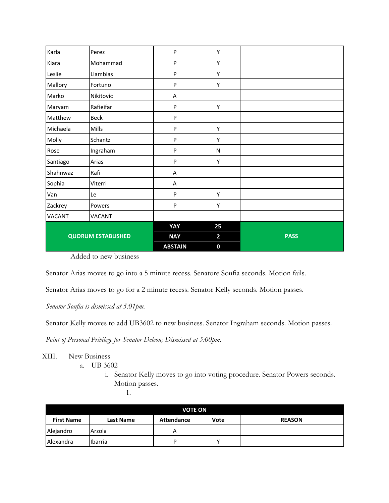| Karla                     | Perez         | ${\sf P}$      | Υ                       |             |
|---------------------------|---------------|----------------|-------------------------|-------------|
| Kiara                     | Mohammad      | ${\sf P}$      | Υ                       |             |
| Leslie                    | Llambias      | $\sf P$        | Υ                       |             |
| Mallory                   | Fortuno       | $\mathsf{P}$   | Υ                       |             |
| Marko                     | Nikitovic     | A              |                         |             |
| Maryam                    | Rafieifar     | ${\sf P}$      | Υ                       |             |
| Matthew                   | <b>Beck</b>   | $\sf P$        |                         |             |
| Michaela                  | Mills         | ${\sf P}$      | Υ                       |             |
| Molly                     | Schantz       | ${\sf P}$      | Υ                       |             |
| Rose                      | Ingraham      | $\mathsf{P}$   | N                       |             |
| Santiago                  | Arias         | $\mathsf{P}$   | Υ                       |             |
| Shahnwaz                  | Rafi          | A              |                         |             |
| Sophia                    | Viterri       | Α              |                         |             |
| Van                       | Le            | $\mathsf{P}$   | Υ                       |             |
| Zackrey                   | Powers        | ${\sf P}$      | Υ                       |             |
| <b>VACANT</b>             | <b>VACANT</b> |                |                         |             |
|                           |               | YAY            | 25                      |             |
| <b>QUORUM ESTABLISHED</b> |               | <b>NAY</b>     | $\overline{\mathbf{2}}$ | <b>PASS</b> |
|                           |               | <b>ABSTAIN</b> | $\mathbf 0$             |             |

Added to new business

Senator Arias moves to go into a 5 minute recess. Senatore Soufia seconds. Motion fails.

Senator Arias moves to go for a 2 minute recess. Senator Kelly seconds. Motion passes.

*Senator Soufia is dismissed at 5:01pm.*

Senator Kelly moves to add UB3602 to new business. Senator Ingraham seconds. Motion passes.

*Point of Personal Privilege for Senator Deleon; Dismissed at 5:00pm.*

XIII. New Business

a. UB 3602

i. Senator Kelly moves to go into voting procedure. Senator Powers seconds. Motion passes.

1.

| <b>VOTE ON</b>    |                  |                   |      |               |
|-------------------|------------------|-------------------|------|---------------|
| <b>First Name</b> | <b>Last Name</b> | <b>Attendance</b> | Vote | <b>REASON</b> |
| Alejandro         | Arzola           | А                 |      |               |
| <b>Alexandra</b>  | Ibarria          | D                 |      |               |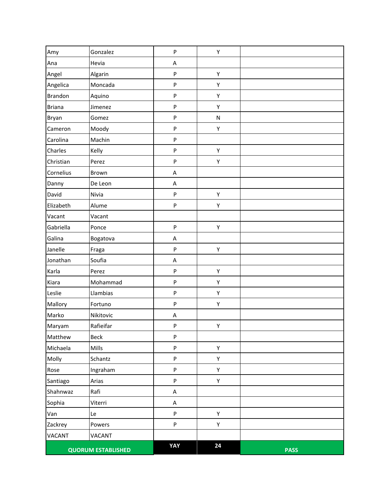| Amy            | Gonzalez                  | P                         | Υ         |             |
|----------------|---------------------------|---------------------------|-----------|-------------|
| Ana            | Hevia                     | A                         |           |             |
| Angel          | Algarin                   | P                         | Υ         |             |
| Angelica       | Moncada                   | P                         | Υ         |             |
| <b>Brandon</b> | Aquino                    | P                         | Υ         |             |
| <b>Briana</b>  | Jimenez                   | P                         | Υ         |             |
| Bryan          | Gomez                     | P                         | ${\sf N}$ |             |
| Cameron        | Moody                     | P                         | Υ         |             |
| Carolina       | Machin                    | $\boldsymbol{\mathsf{P}}$ |           |             |
| Charles        | Kelly                     | P                         | Υ         |             |
| Christian      | Perez                     | P                         | Υ         |             |
| Cornelius      | Brown                     | A                         |           |             |
| Danny          | De Leon                   | A                         |           |             |
| David          | Nivia                     | P                         | Υ         |             |
| Elizabeth      | Alume                     | P                         | Υ         |             |
| Vacant         | Vacant                    |                           |           |             |
| Gabriella      | Ponce                     | P                         | Υ         |             |
| Galina         | Bogatova                  | A                         |           |             |
| Janelle        | Fraga                     | P                         | Υ         |             |
| Jonathan       | Soufia                    | A                         |           |             |
| Karla          | Perez                     | P                         | Υ         |             |
| Kiara          | Mohammad                  | P                         | Υ         |             |
| Leslie         | Llambias                  | P                         | Υ         |             |
| Mallory        | Fortuno                   | P                         | Υ         |             |
| Marko          | Nikitovic                 | A                         |           |             |
| Maryam         | Rafieifar                 | P                         | Υ         |             |
| Matthew        | Beck                      | P                         |           |             |
| Michaela       | Mills                     | P                         | Y         |             |
| Molly          | Schantz                   | P                         | Υ         |             |
| Rose           | Ingraham                  | P                         | Υ         |             |
| Santiago       | Arias                     | P                         | Υ         |             |
| Shahnwaz       | Rafi                      | A                         |           |             |
| Sophia         | Viterri                   | $\sf A$                   |           |             |
| Van            | Le                        | P                         | Υ         |             |
| Zackrey        | Powers                    | P                         | Υ         |             |
| <b>VACANT</b>  | VACANT                    |                           |           |             |
|                | <b>QUORUM ESTABLISHED</b> | YAY                       | 24        | <b>PASS</b> |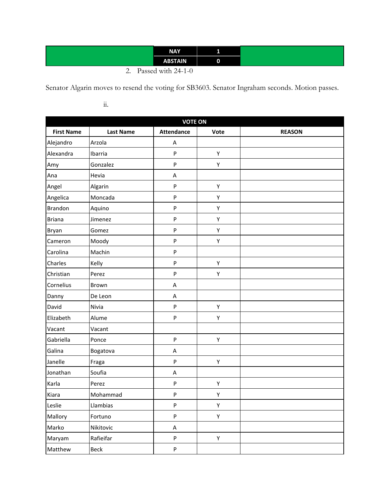| <b>NAY</b>                                                          |   |
|---------------------------------------------------------------------|---|
| <b>ABSTAIN</b>                                                      | υ |
| $\sim$<br>$\cdot$ $\cdot$ $\cdot$ $\cdot$ $\cdot$ $\cdot$<br>$\sim$ |   |

<sup>2.</sup> Passed with 24-1-0

Senator Algarin moves to resend the voting for SB3603. Senator Ingraham seconds. Motion passes.

ii.

| <b>VOTE ON</b>    |                  |                   |      |               |  |  |  |
|-------------------|------------------|-------------------|------|---------------|--|--|--|
| <b>First Name</b> | <b>Last Name</b> | <b>Attendance</b> | Vote | <b>REASON</b> |  |  |  |
| Alejandro         | Arzola           | Α                 |      |               |  |  |  |
| Alexandra         | Ibarria          | ${\sf P}$         | Υ    |               |  |  |  |
| Amy               | Gonzalez         | $\sf P$           | Υ    |               |  |  |  |
| Ana               | Hevia            | Α                 |      |               |  |  |  |
| Angel             | Algarin          | ${\sf P}$         | Υ    |               |  |  |  |
| Angelica          | Moncada          | ${\sf P}$         | Υ    |               |  |  |  |
| <b>Brandon</b>    | Aquino           | ${\sf P}$         | Υ    |               |  |  |  |
| <b>Briana</b>     | Jimenez          | ${\sf P}$         | Υ    |               |  |  |  |
| Bryan             | Gomez            | ${\sf P}$         | Υ    |               |  |  |  |
| Cameron           | Moody            | ${\sf P}$         | Υ    |               |  |  |  |
| Carolina          | Machin           | ${\sf P}$         |      |               |  |  |  |
| Charles           | Kelly            | ${\sf P}$         | Υ    |               |  |  |  |
| Christian         | Perez            | ${\sf P}$         | Υ    |               |  |  |  |
| Cornelius         | Brown            | A                 |      |               |  |  |  |
| Danny             | De Leon          | Α                 |      |               |  |  |  |
| David             | Nivia            | ${\sf P}$         | Υ    |               |  |  |  |
| Elizabeth         | Alume            | ${\sf P}$         | Υ    |               |  |  |  |
| Vacant            | Vacant           |                   |      |               |  |  |  |
| Gabriella         | Ponce            | $\sf P$           | Υ    |               |  |  |  |
| Galina            | Bogatova         | Α                 |      |               |  |  |  |
| Janelle           | Fraga            | ${\sf P}$         | Υ    |               |  |  |  |
| Jonathan          | Soufia           | Α                 |      |               |  |  |  |
| Karla             | Perez            | ${\sf P}$         | Υ    |               |  |  |  |
| Kiara             | Mohammad         | ${\sf P}$         | Υ    |               |  |  |  |
| Leslie            | Llambias         | ${\sf P}$         | Υ    |               |  |  |  |
| Mallory           | Fortuno          | ${\sf P}$         | Υ    |               |  |  |  |
| Marko             | Nikitovic        | A                 |      |               |  |  |  |
| Maryam            | Rafieifar        | ${\sf P}$         | Υ    |               |  |  |  |
| Matthew           | Beck             | ${\sf P}$         |      |               |  |  |  |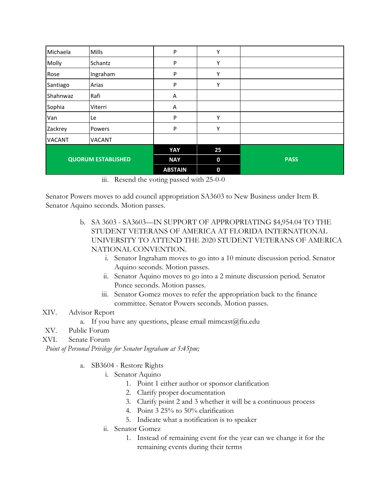| Michaela                  | <b>Mills</b>  | P              | Υ           |             |
|---------------------------|---------------|----------------|-------------|-------------|
| Molly                     | Schantz       | P              | Υ           |             |
| Rose                      | Ingraham      | P              | Υ           |             |
| Santiago                  | Arias         | P              | Υ           |             |
| Shahnwaz                  | Rafi          | A              |             |             |
| Sophia                    | Viterri       | A              |             |             |
| Van                       | Le            | P              | Υ           |             |
| Zackrey                   | Powers        | P              | Υ           |             |
| <b>VACANT</b>             | <b>VACANT</b> |                |             |             |
|                           |               | YAY            | 25          |             |
| <b>QUORUM ESTABLISHED</b> |               | <b>NAY</b>     | $\bf{0}$    | <b>PASS</b> |
|                           |               | <b>ABSTAIN</b> | $\mathbf 0$ |             |

iii. Resend the voting passed with 25-0-0

Senator Powers moves to add council appropriation SA3603 to New Business under Item B. Senator Aquino seconds. Motion passes.

- b. SA 3603 SA3603—IN SUPPORT OF APPROPRIATING \$4,954.04 TO THE STUDENT VETERANS OF AMERICA AT FLORIDA INTERNATIONAL UNIVERSITY TO ATTEND THE 2020 STUDENT VETERANS OF AMERICA NATIONAL CONVENTION.
	- i. Senator Ingraham moves to go into a 10 minute discussion period. Senator Aquino seconds. Motion passes.
	- ii. Senator Aquino moves to go into a 2 minute discussion period. Senator Ponce seconds. Motion passes.
	- iii. Senator Gomez moves to refer the appropriation back to the finance committee. Senator Powers seconds. Motion passes.

#### XIV. Advisor Report

- a. If you have any questions, please email mimcast $(\hat{\omega})$ fiu.edu
- XV. Public Forum
- XVI. Senate Forum

*Point of Personal Privilege for Senator Ingraham at 5:45pm;*

- a. SB3604 Restore Rights
	- i. Senator Aquino
		- 1. Point 1 either author or sponsor clarification
		- 2. Clarify proper documentation
		- 3. Clarify point 2 and 3 whether it will be a continuous process
		- 4. Point 3 25% to 50% clarification
		- 5. Indicate what a notification is to speaker
	- ii. Senator Gomez
		- 1. Instead of remaining event for the year can we change it for the remaining events during their terms